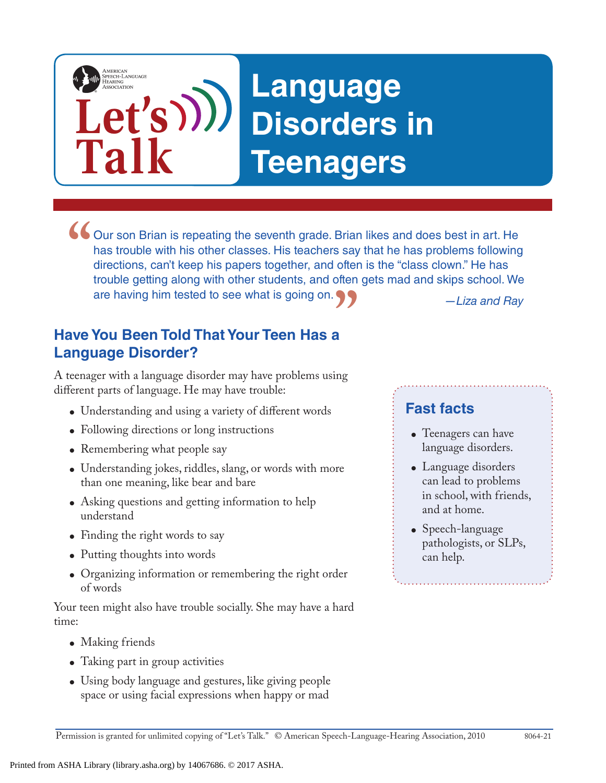# AMERICAN<br>SPEECH-LANGUAGE-<br>HEARING **Language**  Let's))) **Disorders in Talk Teenagers**

*—Liza and Ray* Our son Brian is repeating the seventh grade. Brian likes and does best in art. He has trouble with his other classes. His teachers say that he has problems following directions, can't keep his papers together, and often i has trouble with his other classes. His teachers say that he has problems following directions, can't keep his papers together, and often is the "class clown." He has trouble getting along with other students, and often gets mad and skips school. We are having him tested to see what is going on.

## **Have You Been Told That Your Teen Has a Language Disorder? "**

A teenager with a language disorder may have problems using different parts of language. He may have trouble:

- Understanding and using a variety of different words
- Following directions or long instructions
- Remembering what people say
- Understanding jokes, riddles, slang, or words with more than one meaning, like bear and bare
- Asking questions and getting information to help understand
- Finding the right words to say
- Putting thoughts into words
- Organizing information or remembering the right order of words

Your teen might also have trouble socially. She may have a hard time:

- Making friends
- Taking part in group activities
- Using body language and gestures, like giving people space or using facial expressions when happy or mad

#### **Fast facts**

- Teenagers can have language disorders.
- Language disorders can lead to problems in school, with friends, and at home.
- Speech-language pathologists, or SLPs, can help.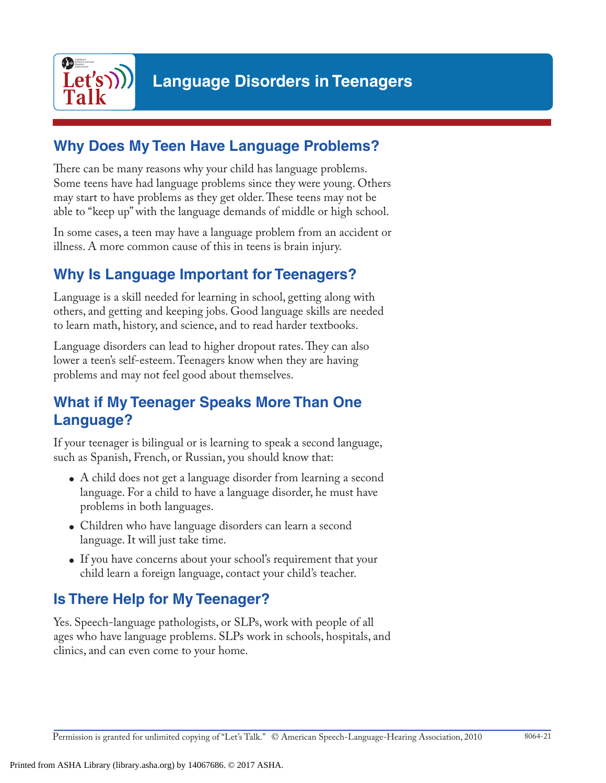

#### **Why Does My Teen Have Language Problems?**

There can be many reasons why your child has language problems. Some teens have had language problems since they were young. Others may start to have problems as they get older. These teens may not be able to "keep up" with the language demands of middle or high school.

In some cases, a teen may have a language problem from an accident or illness. A more common cause of this in teens is brain injury.

## **Why Is Language Important for Teenagers?**

Language is a skill needed for learning in school, getting along with others, and getting and keeping jobs. Good language skills are needed to learn math, history, and science, and to read harder textbooks.

Language disorders can lead to higher dropout rates. They can also lower a teen's self-esteem. Teenagers know when they are having problems and may not feel good about themselves.

#### **What if My Teenager Speaks More Than One Language?**

If your teenager is bilingual or is learning to speak a second language, such as Spanish, French, or Russian, you should know that:

- A child does not get a language disorder from learning a second language. For a child to have a language disorder, he must have problems in both languages.
- Children who have language disorders can learn a second language. It will just take time.
- If you have concerns about your school's requirement that your child learn a foreign language, contact your child's teacher.

## **Is There Help for My Teenager?**

Yes. Speech-language pathologists, or SLPs, work with people of all ages who have language problems. SLPs work in schools, hospitals, and clinics, and can even come to your home.